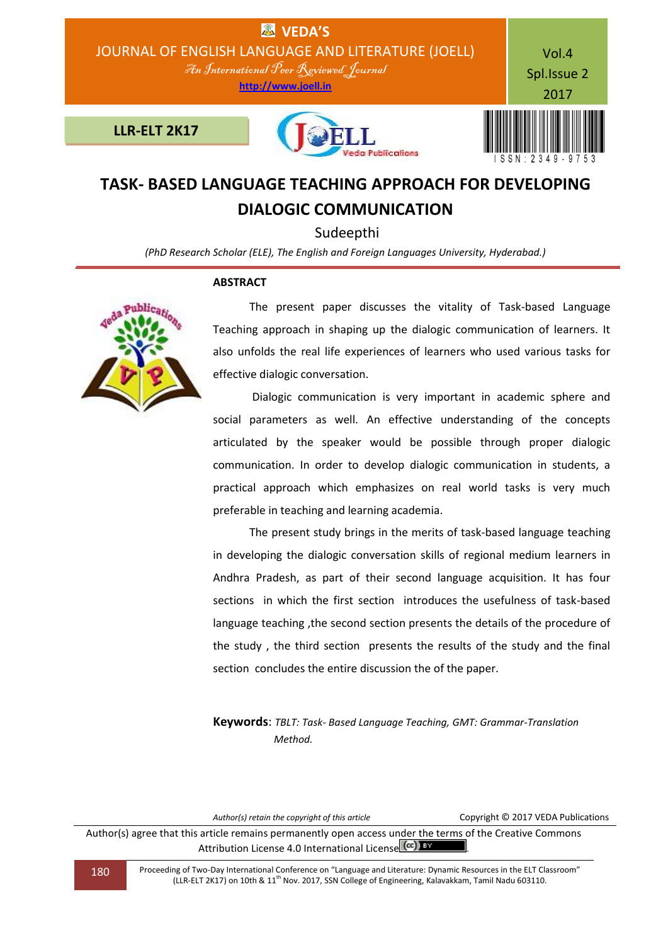

# **TASK- BASED LANGUAGE TEACHING APPROACH FOR DEVELOPING DIALOGIC COMMUNICATION**

Sudeepthi

*(PhD Research Scholar (ELE), The English and Foreign Languages University, Hyderabad.)*

### **ABSTRACT**



 The present paper discusses the vitality of Task-based Language Teaching approach in shaping up the dialogic communication of learners. It also unfolds the real life experiences of learners who used various tasks for effective dialogic conversation.

 Dialogic communication is very important in academic sphere and social parameters as well. An effective understanding of the concepts articulated by the speaker would be possible through proper dialogic communication. In order to develop dialogic communication in students, a practical approach which emphasizes on real world tasks is very much preferable in teaching and learning academia.

 The present study brings in the merits of task-based language teaching in developing the dialogic conversation skills of regional medium learners in Andhra Pradesh, as part of their second language acquisition. It has four sections in which the first section introduces the usefulness of task-based language teaching ,the second section presents the details of the procedure of the study , the third section presents the results of the study and the final section concludes the entire discussion the of the paper.

**Keywords**: *TBLT: Task- Based Language Teaching, GMT: Grammar-Translation Method.*

| Author(s) retain the copyright of this article                                                                                                                     | Copyright © 2017 VEDA Publications |
|--------------------------------------------------------------------------------------------------------------------------------------------------------------------|------------------------------------|
| Author(s) agree that this article remains permanently open access under the terms of the Creative Commons<br>Attribution License 4.0 International License (CC) BY |                                    |

180 Proceeding of Two-Day International Conference on "Language and Literature: Dynamic Resources in the ELT Classroom" (LLR-ELT 2K17) on 10th & 11<sup>th</sup> Nov. 2017, SSN College of Engineering, Kalavakkam, Tamil Nadu 603110.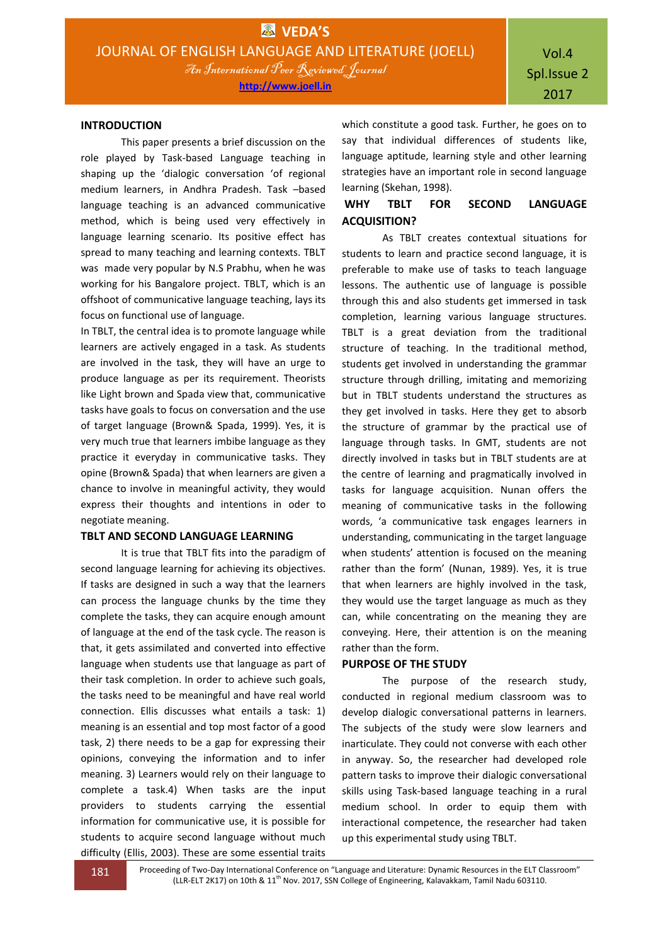### **INTRODUCTION**

This paper presents a brief discussion on the role played by Task-based Language teaching in shaping up the 'dialogic conversation 'of regional medium learners, in Andhra Pradesh. Task –based language teaching is an advanced communicative method, which is being used very effectively in language learning scenario. Its positive effect has spread to many teaching and learning contexts. TBLT was made very popular by N.S Prabhu, when he was working for his Bangalore project. TBLT, which is an offshoot of communicative language teaching, lays its focus on functional use of language.

In TBLT, the central idea is to promote language while learners are actively engaged in a task. As students are involved in the task, they will have an urge to produce language as per its requirement. Theorists like Light brown and Spada view that, communicative tasks have goals to focus on conversation and the use of target language (Brown& Spada, 1999). Yes, it is very much true that learners imbibe language as they practice it everyday in communicative tasks. They opine (Brown& Spada) that when learners are given a chance to involve in meaningful activity, they would express their thoughts and intentions in oder to negotiate meaning.

### **TBLT AND SECOND LANGUAGE LEARNING**

It is true that TBLT fits into the paradigm of second language learning for achieving its objectives. If tasks are designed in such a way that the learners can process the language chunks by the time they complete the tasks, they can acquire enough amount of language at the end of the task cycle. The reason is that, it gets assimilated and converted into effective language when students use that language as part of their task completion. In order to achieve such goals, the tasks need to be meaningful and have real world connection. Ellis discusses what entails a task: 1) meaning is an essential and top most factor of a good task, 2) there needs to be a gap for expressing their opinions, conveying the information and to infer meaning. 3) Learners would rely on their language to complete a task.4) When tasks are the input providers to students carrying the essential information for communicative use, it is possible for students to acquire second language without much difficulty (Ellis, 2003). These are some essential traits

which constitute a good task. Further, he goes on to say that individual differences of students like, language aptitude, learning style and other learning strategies have an important role in second language learning (Skehan, 1998).

## **WHY TBLT FOR SECOND LANGUAGE ACQUISITION?**

As TBLT creates contextual situations for students to learn and practice second language, it is preferable to make use of tasks to teach language lessons. The authentic use of language is possible through this and also students get immersed in task completion, learning various language structures. TBLT is a great deviation from the traditional structure of teaching. In the traditional method, students get involved in understanding the grammar structure through drilling, imitating and memorizing but in TBLT students understand the structures as they get involved in tasks. Here they get to absorb the structure of grammar by the practical use of language through tasks. In GMT, students are not directly involved in tasks but in TBLT students are at the centre of learning and pragmatically involved in tasks for language acquisition. Nunan offers the meaning of communicative tasks in the following words, 'a communicative task engages learners in understanding, communicating in the target language when students' attention is focused on the meaning rather than the form' (Nunan, 1989). Yes, it is true that when learners are highly involved in the task, they would use the target language as much as they can, while concentrating on the meaning they are conveying. Here, their attention is on the meaning rather than the form.

#### **PURPOSE OF THE STUDY**

The purpose of the research study, conducted in regional medium classroom was to develop dialogic conversational patterns in learners. The subjects of the study were slow learners and inarticulate. They could not converse with each other in anyway. So, the researcher had developed role pattern tasks to improve their dialogic conversational skills using Task-based language teaching in a rural medium school. In order to equip them with interactional competence, the researcher had taken up this experimental study using TBLT.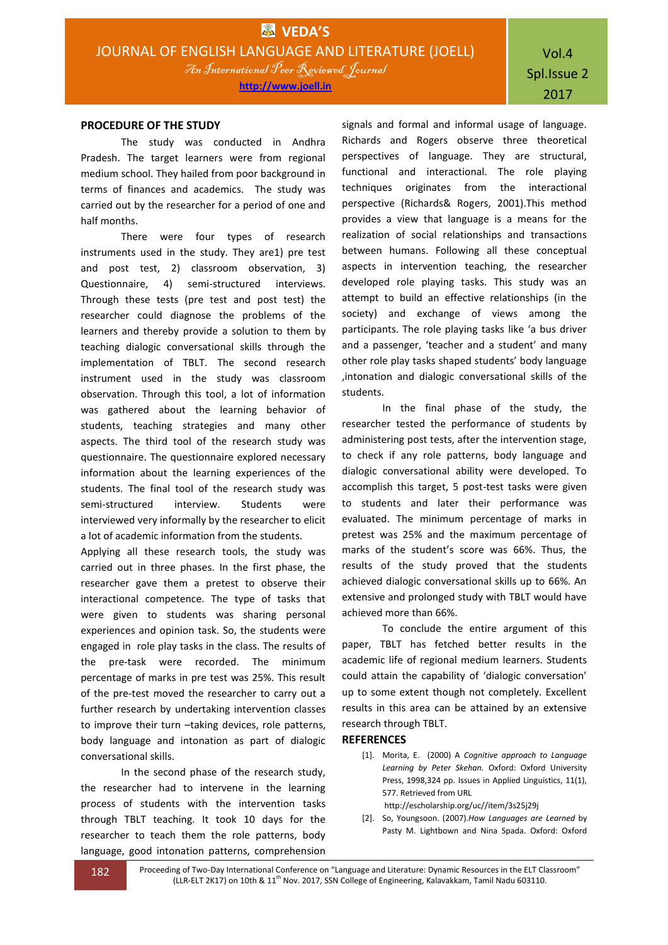### **PROCEDURE OF THE STUDY**

The study was conducted in Andhra Pradesh. The target learners were from regional medium school. They hailed from poor background in terms of finances and academics. The study was carried out by the researcher for a period of one and half months.

There were four types of research instruments used in the study. They are1) pre test and post test, 2) classroom observation, 3) Questionnaire, 4) semi-structured interviews. Through these tests (pre test and post test) the researcher could diagnose the problems of the learners and thereby provide a solution to them by teaching dialogic conversational skills through the implementation of TBLT. The second research instrument used in the study was classroom observation. Through this tool, a lot of information was gathered about the learning behavior of students, teaching strategies and many other aspects. The third tool of the research study was questionnaire. The questionnaire explored necessary information about the learning experiences of the students. The final tool of the research study was semi-structured interview. Students were interviewed very informally by the researcher to elicit a lot of academic information from the students.

Applying all these research tools, the study was carried out in three phases. In the first phase, the researcher gave them a pretest to observe their interactional competence. The type of tasks that were given to students was sharing personal experiences and opinion task. So, the students were engaged in role play tasks in the class. The results of the pre-task were recorded. The minimum percentage of marks in pre test was 25%. This result of the pre-test moved the researcher to carry out a further research by undertaking intervention classes to improve their turn –taking devices, role patterns, body language and intonation as part of dialogic conversational skills.

In the second phase of the research study, the researcher had to intervene in the learning process of students with the intervention tasks through TBLT teaching. It took 10 days for the researcher to teach them the role patterns, body language, good intonation patterns, comprehension

signals and formal and informal usage of language. Richards and Rogers observe three theoretical perspectives of language. They are structural, functional and interactional. The role playing techniques originates from the interactional perspective (Richards& Rogers, 2001).This method provides a view that language is a means for the realization of social relationships and transactions between humans. Following all these conceptual aspects in intervention teaching, the researcher developed role playing tasks. This study was an attempt to build an effective relationships (in the society) and exchange of views among the participants. The role playing tasks like 'a bus driver and a passenger, 'teacher and a student' and many other role play tasks shaped students' body language ,intonation and dialogic conversational skills of the students.

In the final phase of the study, the researcher tested the performance of students by administering post tests, after the intervention stage, to check if any role patterns, body language and dialogic conversational ability were developed. To accomplish this target, 5 post-test tasks were given to students and later their performance was evaluated. The minimum percentage of marks in pretest was 25% and the maximum percentage of marks of the student's score was 66%. Thus, the results of the study proved that the students achieved dialogic conversational skills up to 66%. An extensive and prolonged study with TBLT would have achieved more than 66%.

To conclude the entire argument of this paper, TBLT has fetched better results in the academic life of regional medium learners. Students could attain the capability of 'dialogic conversation' up to some extent though not completely. Excellent results in this area can be attained by an extensive research through TBLT.

### **REFERENCES**

[1]. Morita, E. (2000) A *Cognitive approach to Language Learning by Peter Skehan.* Oxford: Oxford University Press, 1998,324 pp. Issues in Applied Linguistics, 11(1), 577. Retrieved from URL

http://escholarship.org/uc//item/3s25j29j

[2]. So, Youngsoon. (2007).*How Languages are Learned* by Pasty M. Lightbown and Nina Spada. Oxford: Oxford

182 Proceeding of Two-Day International Conference on "Language and Literature: Dynamic Resources in the ELT Classroom" (LLR-ELT 2K17) on 10th & 11<sup>th</sup> Nov. 2017, SSN College of Engineering, Kalavakkam, Tamil Nadu 603110.